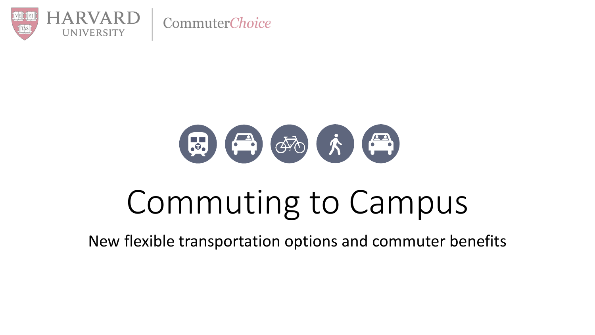

# (品) (个) (个) (个)

# Commuting to Campus

New flexible transportation options and commuter benefits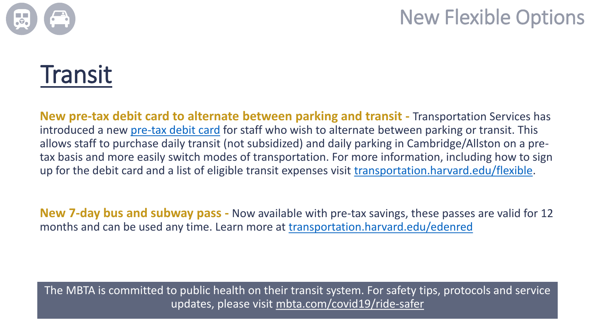

#### New Flexible Options

### **Transit**

**New pre-tax debit card to alternate between parking and transit -** Transportation Services has introduced a new [pre-tax debit card](https://www.transportation.harvard.edu/sites/default/files/How%20to%20Take%20Advantage%20of%20Transit%20and%20Parking%20Flex%20Feature.pdf) for staff who wish to alternate between parking or transit. This allows staff to purchase daily transit (not subsidized) and daily parking in Cambridge/Allston on a pretax basis and more easily switch modes of transportation. For more information, including how to sign up for the debit card and a list of eligible transit expenses visit [transportation.harvard.edu/flexible.](transportation.harvard.edu/flexible)

**New 7-day bus and subway pass -** Now available with pre-tax savings, these passes are valid for 12 months and can be used any time. Learn more at <transportation.harvard.edu/edenred>

The MBTA is committed to public health on their transit system. For safety tips, protocols and service updates, please visit [mbta.com/covid19/ride-safer](https://www.mbta.com/covid19/ride-safer)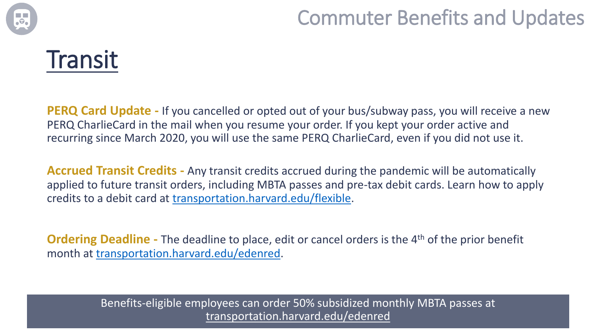

#### Commuter Benefits and Updates



**PERQ Card Update -** If you cancelled or opted out of your bus/subway pass, you will receive a new PERQ CharlieCard in the mail when you resume your order. If you kept your order active and recurring since March 2020, you will use the same PERQ CharlieCard, even if you did not use it.

**Accrued Transit Credits -** Any transit credits accrued during the pandemic will be automatically applied to future transit orders, including MBTA passes and pre-tax debit cards. Learn how to apply credits to a debit card at [transportation.harvard.edu/flexible](http://www.transportation.harvard.edu/flexible).

**Ordering Deadline -** The deadline to place, edit or cancel orders is the 4<sup>th</sup> of the prior benefit month at [transportation.harvard.edu/edenred.](transportation.harvard.edu/edenred)

> Benefits-eligible employees can order 50% subsidized monthly MBTA passes at [transportation.harvard.edu/edenred](http://www.transportation.harvard.edu/edenred)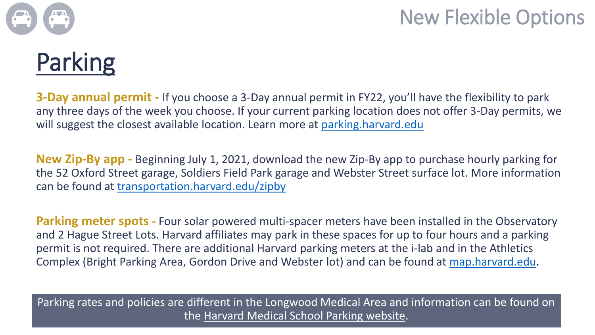

# Parking

**3-Day annual permit -** If you choose a 3-Day annual permit in FY22, you'll have the flexibility to park any three days of the week you choose. If your current parking location does not offer 3-Day permits, we will suggest the closest available location. Learn more at [parking.harvard.edu](https://www.transportation.harvard.edu/covidparking)

**New Zip-By app -** Beginning July 1, 2021, download the new Zip-By app to purchase hourly parking for the 52 Oxford Street garage, Soldiers Field Park garage and Webster Street surface lot. More information can be found at <transportation.harvard.edu/zipby>

**Parking meter spots** - Four solar powered multi-spacer meters have been installed in the Observatory and 2 Hague Street Lots. Harvard affiliates may park in these spaces for up to four hours and a parking permit is not required. There are additional Harvard parking meters at the i-lab and in the Athletics Complex (Bright Parking Area, Gordon Drive and Webster lot) and can be found at [map.harvard.edu](https://prodsmap.cadm.harvard.edu/portal/apps/indoors/index.html?appid=d71c69bc4b014b40b730d90880fba3a0).

Parking rates and policies are different in the Longwood Medical Area and information can be found on the [Harvard Medical School Parking website](https://campusplanning.hms.harvard.edu/campus-services/parking-commuter-services).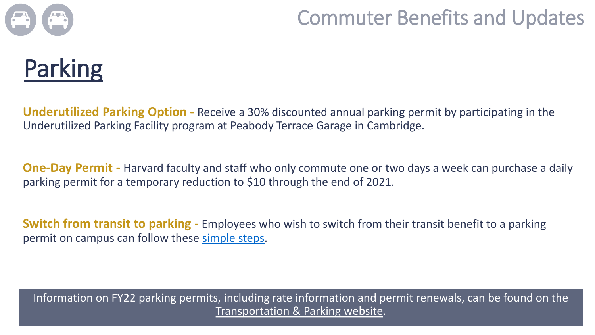

#### Commuter Benefits and Updates



**Underutilized Parking Option -** Receive a 30% discounted annual parking permit by participating in the Underutilized Parking Facility program at Peabody Terrace Garage in Cambridge.

**One-Day Permit -** Harvard faculty and staff who only commute one or two days a week can purchase a daily parking permit for a temporary reduction to \$10 through the end of 2021.

**Switch from transit to parking -** Employees who wish to switch from their transit benefit to a parking permit on campus can follow these [simple](https://www.transportation.harvard.edu/sites/default/files/Switching%20from%20MBTA%20to%20Parking%20Tutorial.pdf) steps.

Information on FY22 parking permits, including rate information and permit renewals, can be found on the [Transportation & Parking website](https://www.transportation.harvard.edu/covidparking).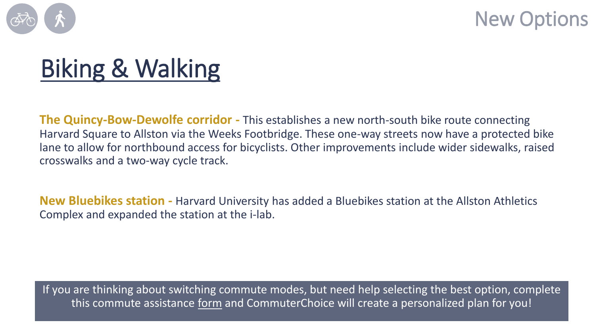

New Options

# Biking & Walking

**The Quincy-Bow-Dewolfe corridor -** This establishes a new north-south bike route connecting Harvard Square to Allston via the Weeks Footbridge. These one-way streets now have a protected bike lane to allow for northbound access for bicyclists. Other improvements include wider sidewalks, raised crosswalks and a two-way cycle track.

**New Bluebikes station -** Harvard University has added a Bluebikes station at the Allston Athletics Complex and expanded the station at the i-lab.

If you are thinking about switching commute modes, but need help selecting the best option, complete this commute assistance [form](https://harvard.az1.qualtrics.com/jfe/form/SV_eQbJ34cvvhxepDv) and CommuterChoice will create a personalized plan for you!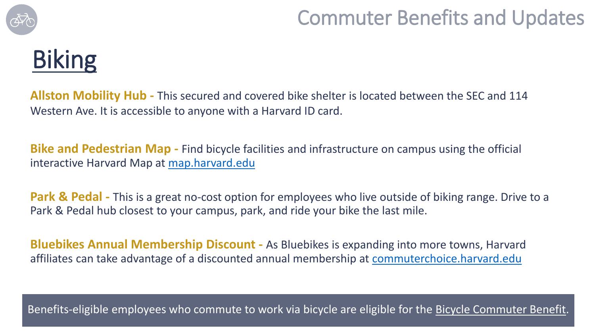

#### Commuter Benefits and Updates

## Biking

**Allston Mobility Hub -** This secured and covered bike shelter is located between the SEC and 114 Western Ave. It is accessible to anyone with a Harvard ID card.

**Bike and Pedestrian Map -** Find bicycle facilities and infrastructure on campus using the official interactive Harvard Map at [map.harvard.edu](https://map.harvard.edu/)

**Park & Pedal** - This is a great no-cost option for employees who live outside of biking range. Drive to a Park & Pedal hub closest to your campus, park, and ride your bike the last mile.

**Bluebikes Annual Membership Discount -** As Bluebikes is expanding into more towns, Harvard affiliates can take advantage of a discounted annual membership at [commuterchoice.harvard.edu](https://www.transportation.harvard.edu/commuterchoice/bike/blue-bikes-bike-share-program)

Benefits-eligible employees who commute to work via bicycle are eligible for the [Bicycle Commuter Benefit](https://www.transportation.harvard.edu/commuterchoice/bike/bike-commuter-benefit).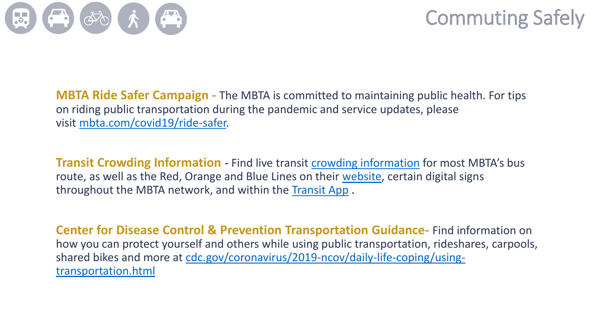

#### Commuting Safely

**MBTA Ride Safer Campaign -** The MBTA is committed to maintaining public health. For tips on riding public transportation during the pandemic and service updates, please visit [mbta.com/covid19/ride-safer.](https://www.mbta.com/covid19/ride-safer)

**Transit Crowding Information** - Find live transit [crowding information](https://www.mbta.com/crowding) for most MBTA's bus route, as well as the Red, Orange and Blue Lines on their [website,](https://www.mbta.com/projects/crowding-information-riders) certain digital signs throughout the MBTA network, and within the [Transit App](https://www.mbta.com/apps) .

**Center for Disease Control & Prevention Transportation Guidance-** Find information on how you can protect yourself and others while using public transportation, rideshares, carpools, [shared bikes and more at cdc.gov/coronavirus/2019-ncov/daily-life-coping/using](https://www.cdc.gov/coronavirus/2019-ncov/daily-life-coping/using-transportation.html)transportation.html